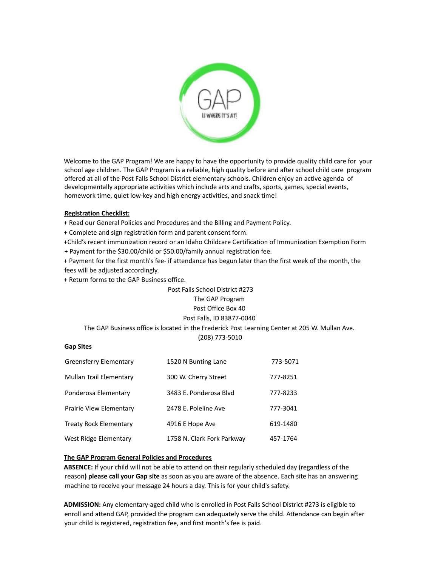

Welcome to the GAP Program! We are happy to have the opportunity to provide quality child care for your school age children. The GAP Program is a reliable, high quality before and after school child care program offered at all of the Post Falls School District elementary schools. Children enjoy an active agenda of developmentally appropriate activities which include arts and crafts, sports, games, special events, homework time, quiet low-key and high energy activities, and snack time!

### **Registration Checklist:**

+ Read our General Policies and Procedures and the Billing and Payment Policy.

+ Complete and sign registration form and parent consent form.

+Child's recent immunization record or an Idaho Childcare Certification of Immunization Exemption Form

+ Payment for the \$30.00/child or \$50.00/family annual registration fee.

+ Payment for the first month's fee- if attendance has begun later than the first week of the month, the fees will be adjusted accordingly.

+ Return forms to the GAP Business office.

# Post Falls School District #273 The GAP Program Post Office Box 40 Post Falls, ID 83877-0040

## The GAP Business office is located in the Frederick Post Learning Center at 205 W. Mullan Ave.

(208) 773-5010

#### **Gap Sites**

| <b>Greensferry Elementary</b> | 1520 N Bunting Lane        | 773-5071 |
|-------------------------------|----------------------------|----------|
| Mullan Trail Elementary       | 300 W. Cherry Street       | 777-8251 |
| Ponderosa Elementary          | 3483 E. Ponderosa Blvd     | 777-8233 |
| Prairie View Elementary       | 2478 E. Poleline Ave       | 777-3041 |
| <b>Treaty Rock Elementary</b> | 4916 E Hope Ave            | 619-1480 |
| West Ridge Elementary         | 1758 N. Clark Fork Parkway | 457-1764 |

#### **The GAP Program General Policies and Procedures**

**ABSENCE:** If your child will not be able to attend on their regularly scheduled day (regardless of the reason**) please call your Gap site** as soon as you are aware of the absence. Each site has an answering machine to receive your message 24 hours a day. This is for your child's safety.

**ADMISSION:** Any elementary-aged child who is enrolled in Post Falls School District #273 is eligible to enroll and attend GAP, provided the program can adequately serve the child. Attendance can begin after your child is registered, registration fee, and first month's fee is paid.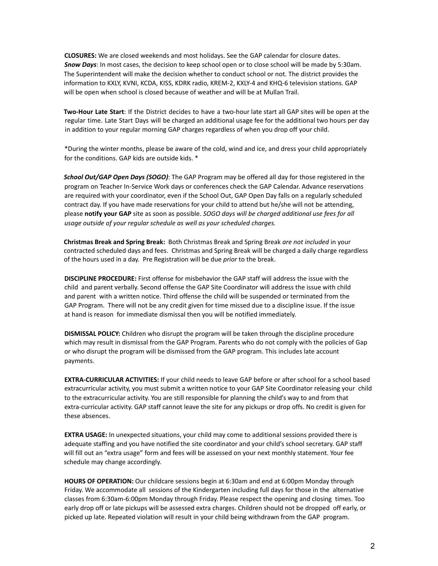**CLOSURES:** We are closed weekends and most holidays. See the GAP calendar for closure dates. *Snow Days*: In most cases, the decision to keep school open or to close school will be made by 5:30am. The Superintendent will make the decision whether to conduct school or not. The district provides the information to KXLY, KVNI, KCDA, KISS, KDRK radio, KREM-2, KXLY-4 and KHQ-6 television stations. GAP will be open when school is closed because of weather and will be at Mullan Trail.

**Two-Hour Late Start**: If the District decides to have a two-hour late start all GAP sites will be open at the regular time. Late Start Days will be charged an additional usage fee for the additional two hours per day in addition to your regular morning GAP charges regardless of when you drop off your child.

\*During the winter months, please be aware of the cold, wind and ice, and dress your child appropriately for the conditions. GAP kids are outside kids. \*

*School Out/GAP Open Days (SOGO)*: The GAP Program may be offered all day for those registered in the program on Teacher In-Service Work days or conferences check the GAP Calendar. Advance reservations are required with your coordinator, even if the School Out, GAP Open Day falls on a regularly scheduled contract day. If you have made reservations for your child to attend but he/she will not be attending, please **notify your GAP** site as soon as possible. *SOGO days will be charged additional use fees for all usage outside of your regular schedule as well as your scheduled charges.*

**Christmas Break and Spring Break:** Both Christmas Break and Spring Break *are not included* in your contracted scheduled days and fees. Christmas and Spring Break will be charged a daily charge regardless of the hours used in a day. Pre Registration will be due *prior* to the break.

**DISCIPLINE PROCEDURE:** First offense for misbehavior the GAP staff will address the issue with the child and parent verbally. Second offense the GAP Site Coordinator will address the issue with child and parent with a written notice. Third offense the child will be suspended or terminated from the GAP Program. There will not be any credit given for time missed due to a discipline issue. If the issue at hand is reason for immediate dismissal then you will be notified immediately.

**DISMISSAL POLICY:** Children who disrupt the program will be taken through the discipline procedure which may result in dismissal from the GAP Program. Parents who do not comply with the policies of Gap or who disrupt the program will be dismissed from the GAP program. This includes late account payments.

**EXTRA-CURRICULAR ACTIVITIES:** If your child needs to leave GAP before or after school for a school based extracurricular activity, you must submit a written notice to your GAP Site Coordinator releasing your child to the extracurricular activity. You are still responsible for planning the child's way to and from that extra-curricular activity. GAP staff cannot leave the site for any pickups or drop offs. No credit is given for these absences.

**EXTRA USAGE:** In unexpected situations, your child may come to additional sessions provided there is adequate staffing and you have notified the site coordinator and your child's school secretary. GAP staff will fill out an "extra usage" form and fees will be assessed on your next monthly statement. Your fee schedule may change accordingly.

**HOURS OF OPERATION:** Our childcare sessions begin at 6:30am and end at 6:00pm Monday through Friday. We accommodate all sessions of the Kindergarten including full days for those in the alternative classes from 6:30am-6:00pm Monday through Friday. Please respect the opening and closing times. Too early drop off or late pickups will be assessed extra charges. Children should not be dropped off early, or picked up late. Repeated violation will result in your child being withdrawn from the GAP program.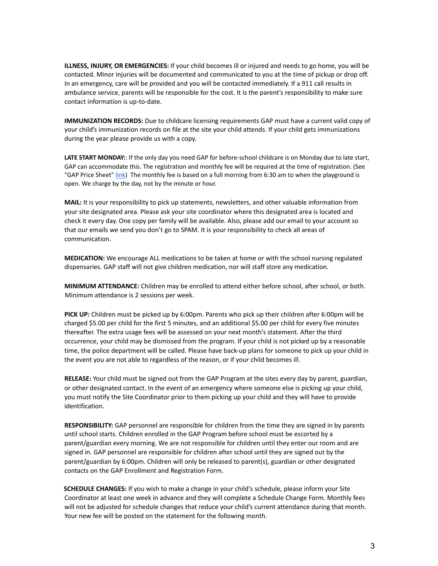**ILLNESS, INJURY, OR EMERGENCIES:** If your child becomes ill or injured and needs to go home, you will be contacted. Minor injuries will be documented and communicated to you at the time of pickup or drop off. In an emergency, care will be provided and you will be contacted immediately. If a 911 call results in ambulance service, parents will be responsible for the cost. It is the parent's responsibility to make sure contact information is up-to-date.

**IMMUNIZATION RECORDS:** Due to childcare licensing requirements GAP must have a current valid copy of your child's immunization records on file at the site your child attends. If your child gets immunizations during the year please provide us with a copy.

**LATE START MONDAY:**: If the only day you need GAP for before-school childcare is on Monday due to late start, GAP can accommodate this. The registration and monthly fee will be required at the time of registration. (See "GAP Price Sheet" [link](https://drive.google.com/file/d/10RjYgH3jRb2z5Y2v2BWcgYhmDnEB8viz/view)) The monthly fee is based on a full morning from 6:30 am to when the playground is open. We charge by the day, not by the minute or hour.

**MAIL:** It is your responsibility to pick up statements, newsletters, and other valuable information from your site designated area. Please ask your site coordinator where this designated area is located and check it every day. One copy per family will be available. Also, please add our email to your account so that our emails we send you don't go to SPAM. It is your responsibility to check all areas of communication.

**MEDICATION:** We encourage ALL medications to be taken at home or with the school nursing regulated dispensaries. GAP staff will not give children medication, nor will staff store any medication.

**MINIMUM ATTENDANCE:** Children may be enrolled to attend either before school, after school, or both. Minimum attendance is 2 sessions per week.

**PICK UP:** Children must be picked up by 6:00pm. Parents who pick up their children after 6:00pm will be charged \$5.00 per child for the first 5 minutes, and an additional \$5.00 per child for every five minutes thereafter. The extra usage fees will be assessed on your next month's statement. After the third occurrence, your child may be dismissed from the program. If your child is not picked up by a reasonable time, the police department will be called. Please have back-up plans for someone to pick up your child in the event you are not able to regardless of the reason, or if your child becomes ill.

**RELEASE:** Your child must be signed out from the GAP Program at the sites every day by parent, guardian, or other designated contact. In the event of an emergency where someone else is picking up your child, you must notify the Site Coordinator prior to them picking up your child and they will have to provide identification.

**RESPONSIBILITY:** GAP personnel are responsible for children from the time they are signed in by parents until school starts. Children enrolled in the GAP Program before school must be escorted by a parent/guardian every morning. We are not responsible for children until they enter our room and are signed in. GAP personnel are responsible for children after school until they are signed out by the parent/guardian by 6:00pm. Children will only be released to parent(s), guardian or other designated contacts on the GAP Enrollment and Registration Form.

**SCHEDULE CHANGES:** If you wish to make a change in your child's schedule, please inform your Site Coordinator at least one week in advance and they will complete a Schedule Change Form. Monthly fees will not be adjusted for schedule changes that reduce your child's current attendance during that month. Your new fee will be posted on the statement for the following month.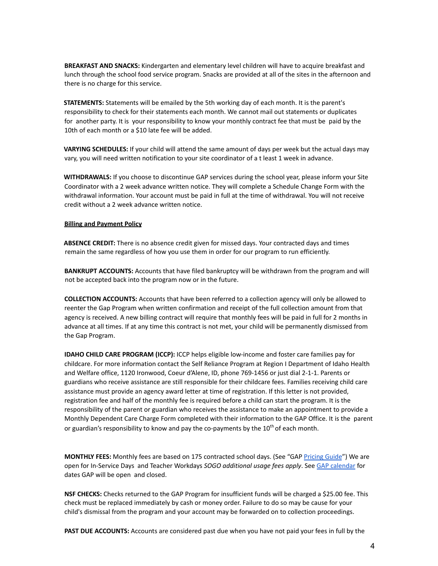**BREAKFAST AND SNACKS:** Kindergarten and elementary level children will have to acquire breakfast and lunch through the school food service program. Snacks are provided at all of the sites in the afternoon and there is no charge for this service.

**STATEMENTS:** Statements will be emailed by the 5th working day of each month. It is the parent's responsibility to check for their statements each month. We cannot mail out statements or duplicates for another party. It is your responsibility to know your monthly contract fee that must be paid by the 10th of each month or a \$10 late fee will be added.

**VARYING SCHEDULES:** If your child will attend the same amount of days per week but the actual days may vary, you will need written notification to your site coordinator of a t least 1 week in advance.

**WITHDRAWALS:** If you choose to discontinue GAP services during the school year, please inform your Site Coordinator with a 2 week advance written notice. They will complete a Schedule Change Form with the withdrawal information. Your account must be paid in full at the time of withdrawal. You will not receive credit without a 2 week advance written notice.

#### **Billing and Payment Policy**

**ABSENCE CREDIT:** There is no absence credit given for missed days. Your contracted days and times remain the same regardless of how you use them in order for our program to run efficiently.

**BANKRUPT ACCOUNTS:** Accounts that have filed bankruptcy will be withdrawn from the program and will not be accepted back into the program now or in the future.

**COLLECTION ACCOUNTS:** Accounts that have been referred to a collection agency will only be allowed to reenter the Gap Program when written confirmation and receipt of the full collection amount from that agency is received. A new billing contract will require that monthly fees will be paid in full for 2 months in advance at all times. If at any time this contract is not met, your child will be permanently dismissed from the Gap Program.

**IDAHO CHILD CARE PROGRAM (ICCP):** ICCP helps eligible low-income and foster care families pay for childcare. For more information contact the Self Reliance Program at Region I Department of Idaho Health and Welfare office, 1120 Ironwood, Coeur d'Alene, ID, phone 769-1456 or just dial 2-1-1. Parents or guardians who receive assistance are still responsible for their childcare fees. Families receiving child care assistance must provide an agency award letter at time of registration. If this letter is not provided, registration fee and half of the monthly fee is required before a child can start the program. It is the responsibility of the parent or guardian who receives the assistance to make an appointment to provide a Monthly Dependent Care Charge Form completed with their information to the GAP Office. It is the parent or guardian's responsibility to know and pay the co-payments by the 10<sup>th</sup> of each month.

**MONTHLY FEES:** Monthly fees are based on 175 contracted school days. (See "GAP [Pricing](https://drive.google.com/file/d/10RjYgH3jRb2z5Y2v2BWcgYhmDnEB8viz/view) Guide") We are open for In-Service Days and Teacher Workdays *SOGO additional usage fees apply*. See GAP [calendar](https://www.pfsd.com/docs/district/gap/gap%20calendar%202021-2022.pdf?id=5636) for dates GAP will be open and closed.

**NSF CHECKS:** Checks returned to the GAP Program for insufficient funds will be charged a \$25.00 fee. This check must be replaced immediately by cash or money order. Failure to do so may be cause for your child's dismissal from the program and your account may be forwarded on to collection proceedings.

**PAST DUE ACCOUNTS:** Accounts are considered past due when you have not paid your fees in full by the